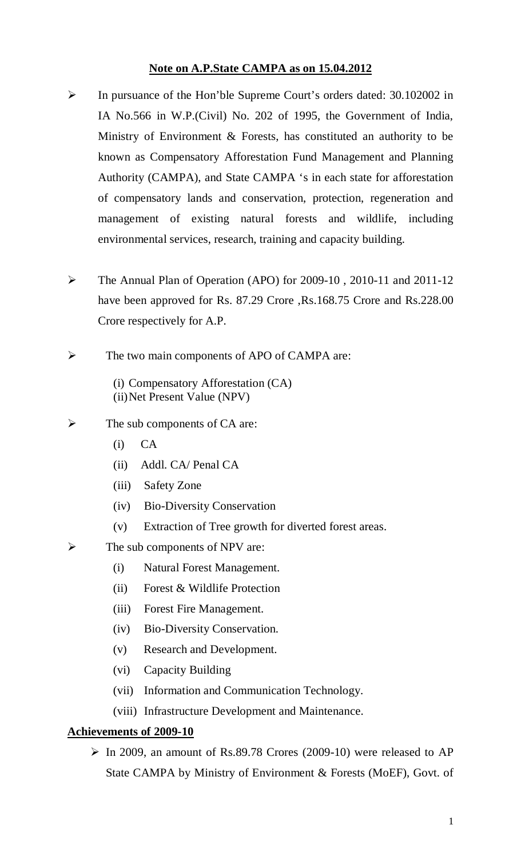## **Note on A.P.State CAMPA as on 15.04.2012**

- In pursuance of the Hon'ble Supreme Court's orders dated: 30.102002 in IA No.566 in W.P.(Civil) No. 202 of 1995, the Government of India, Ministry of Environment & Forests, has constituted an authority to be known as Compensatory Afforestation Fund Management and Planning Authority (CAMPA), and State CAMPA 's in each state for afforestation of compensatory lands and conservation, protection, regeneration and management of existing natural forests and wildlife, including environmental services, research, training and capacity building.
- The Annual Plan of Operation (APO) for 2009-10 , 2010-11 and 2011-12 have been approved for Rs. 87.29 Crore ,Rs.168.75 Crore and Rs.228.00 Crore respectively for A.P.
- $\triangleright$  The two main components of APO of CAMPA are:
	- (i) Compensatory Afforestation (CA) (ii)Net Present Value (NPV)
- $\triangleright$  The sub components of CA are:
	- (i) CA
	- (ii) Addl. CA/ Penal CA
	- (iii) Safety Zone
	- (iv) Bio-Diversity Conservation
	- (v) Extraction of Tree growth for diverted forest areas.
- $\triangleright$  The sub components of NPV are:
	- (i) Natural Forest Management.
	- (ii) Forest & Wildlife Protection
	- (iii) Forest Fire Management.
	- (iv) Bio-Diversity Conservation.
	- (v) Research and Development.
	- (vi) Capacity Building
	- (vii) Information and Communication Technology.
	- (viii) Infrastructure Development and Maintenance.

### **Achievements of 2009-10**

 $\triangleright$  In 2009, an amount of Rs.89.78 Crores (2009-10) were released to AP State CAMPA by Ministry of Environment & Forests (MoEF), Govt. of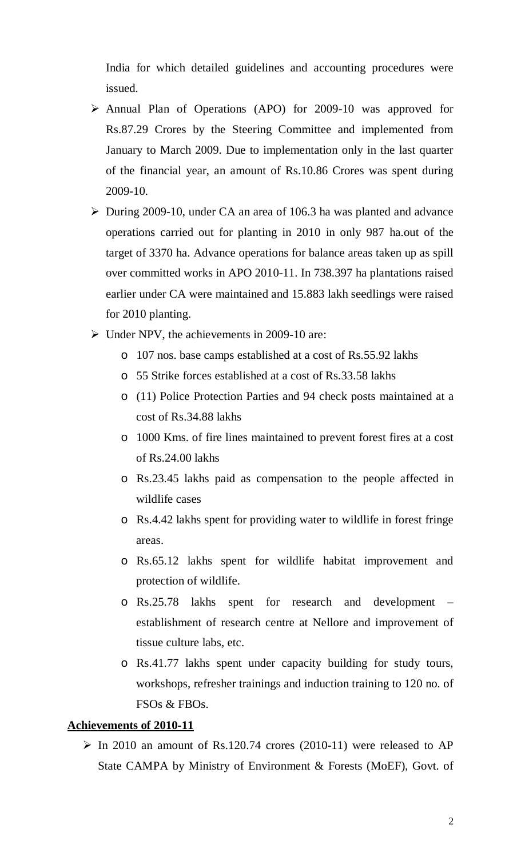India for which detailed guidelines and accounting procedures were issued.

- Annual Plan of Operations (APO) for 2009-10 was approved for Rs.87.29 Crores by the Steering Committee and implemented from January to March 2009. Due to implementation only in the last quarter of the financial year, an amount of Rs.10.86 Crores was spent during 2009-10.
- $\triangleright$  During 2009-10, under CA an area of 106.3 ha was planted and advance operations carried out for planting in 2010 in only 987 ha.out of the target of 3370 ha. Advance operations for balance areas taken up as spill over committed works in APO 2010-11. In 738.397 ha plantations raised earlier under CA were maintained and 15.883 lakh seedlings were raised for 2010 planting.
- $\triangleright$  Under NPV, the achievements in 2009-10 are:
	- o 107 nos. base camps established at a cost of Rs.55.92 lakhs
	- o 55 Strike forces established at a cost of Rs.33.58 lakhs
	- o (11) Police Protection Parties and 94 check posts maintained at a cost of Rs.34.88 lakhs
	- o 1000 Kms. of fire lines maintained to prevent forest fires at a cost of Rs.24.00 lakhs
	- o Rs.23.45 lakhs paid as compensation to the people affected in wildlife cases
	- o Rs.4.42 lakhs spent for providing water to wildlife in forest fringe areas.
	- o Rs.65.12 lakhs spent for wildlife habitat improvement and protection of wildlife.
	- o Rs.25.78 lakhs spent for research and development establishment of research centre at Nellore and improvement of tissue culture labs, etc.
	- o Rs.41.77 lakhs spent under capacity building for study tours, workshops, refresher trainings and induction training to 120 no. of FSOs & FBOs.

#### **Achievements of 2010-11**

 $\triangleright$  In 2010 an amount of Rs.120.74 crores (2010-11) were released to AP State CAMPA by Ministry of Environment & Forests (MoEF), Govt. of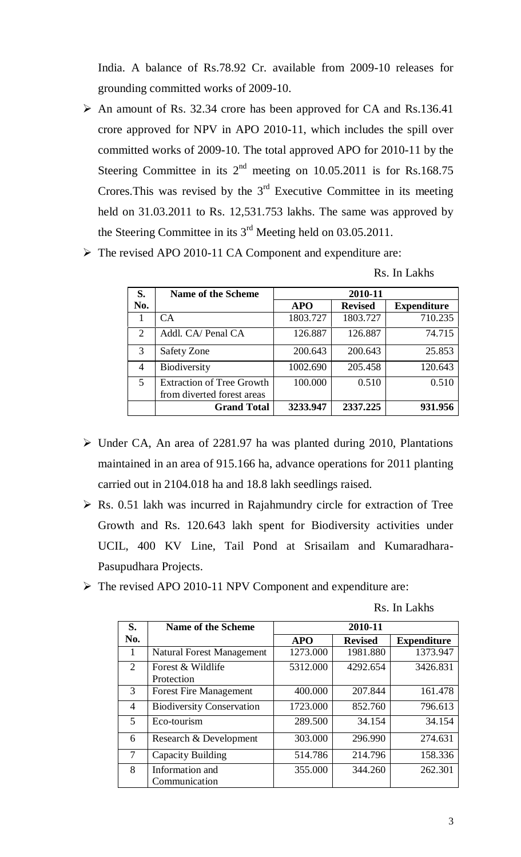India. A balance of Rs.78.92 Cr. available from 2009-10 releases for grounding committed works of 2009-10.

- An amount of Rs. 32.34 crore has been approved for CA and Rs.136.41 crore approved for NPV in APO 2010-11, which includes the spill over committed works of 2009-10. The total approved APO for 2010-11 by the Steering Committee in its  $2<sup>nd</sup>$  meeting on 10.05.2011 is for Rs.168.75 Crores. This was revised by the  $3<sup>rd</sup>$  Executive Committee in its meeting held on 31.03.2011 to Rs. 12,531.753 lakhs. The same was approved by the Steering Committee in its 3<sup>rd</sup> Meeting held on 03.05.2011.
- The revised APO 2010-11 CA Component and expenditure are:

Rs. In Lakhs

| S.                    | <b>Name of the Scheme</b>                                      | 2010-11    |                |                    |  |
|-----------------------|----------------------------------------------------------------|------------|----------------|--------------------|--|
| No.                   |                                                                | <b>APO</b> | <b>Revised</b> | <b>Expenditure</b> |  |
|                       | CA.                                                            | 1803.727   | 1803.727       | 710.235            |  |
| $\mathcal{D}_{\cdot}$ | Addl. CA/ Penal CA                                             | 126.887    | 126.887        | 74.715             |  |
| 3                     | Safety Zone                                                    | 200.643    | 200.643        | 25.853             |  |
| 4                     | <b>Biodiversity</b>                                            | 1002.690   | 205.458        | 120.643            |  |
| 5                     | <b>Extraction of Tree Growth</b><br>from diverted forest areas | 100.000    | 0.510          | 0.510              |  |
|                       | <b>Grand Total</b>                                             | 3233.947   | 2337.225       | 931.956            |  |

- Under CA, An area of 2281.97 ha was planted during 2010, Plantations maintained in an area of 915.166 ha, advance operations for 2011 planting carried out in 2104.018 ha and 18.8 lakh seedlings raised.
- $\triangleright$  Rs. 0.51 lakh was incurred in Rajahmundry circle for extraction of Tree Growth and Rs. 120.643 lakh spent for Biodiversity activities under UCIL, 400 KV Line, Tail Pond at Srisailam and Kumaradhara-Pasupudhara Projects.
- The revised APO 2010-11 NPV Component and expenditure are:

| Rs. In Lakhs |  |  |  |
|--------------|--|--|--|
|--------------|--|--|--|

| S.                          | <b>Name of the Scheme</b>        | 2010-11    |                |                    |
|-----------------------------|----------------------------------|------------|----------------|--------------------|
| No.                         |                                  | <b>APO</b> | <b>Revised</b> | <b>Expenditure</b> |
| 1                           | <b>Natural Forest Management</b> | 1273.000   | 1981.880       | 1373.947           |
| $\mathcal{D}_{\mathcal{L}}$ | Forest & Wildlife<br>Protection  | 5312.000   | 4292.654       | 3426.831           |
| 3                           | <b>Forest Fire Management</b>    | 400.000    | 207.844        | 161.478            |
| $\overline{4}$              | <b>Biodiversity Conservation</b> | 1723.000   | 852.760        | 796.613            |
| 5                           | Eco-tourism                      | 289.500    | 34.154         | 34.154             |
| 6                           | Research & Development           | 303.000    | 296.990        | 274.631            |
| 7                           | Capacity Building                | 514.786    | 214.796        | 158.336            |
| 8                           | Information and<br>Communication | 355.000    | 344.260        | 262.301            |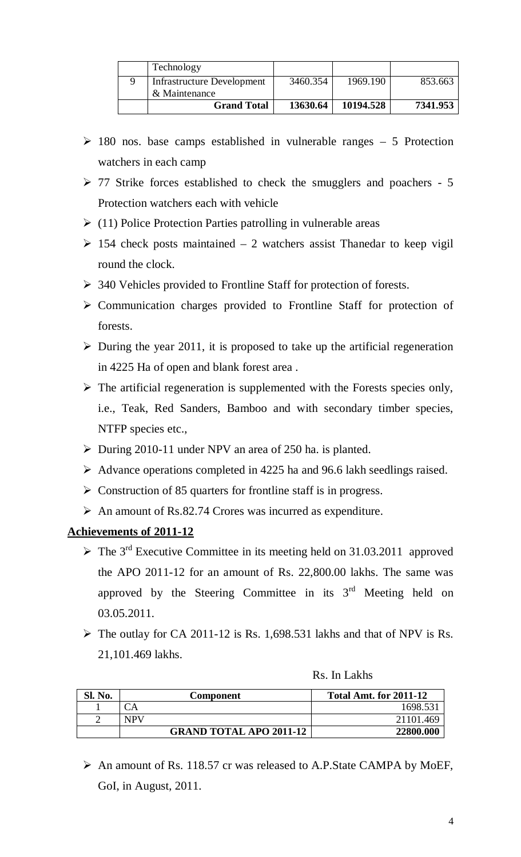| Technology                 |          |           |          |
|----------------------------|----------|-----------|----------|
| Infrastructure Development | 3460.354 | 1969.190  | 853.663  |
| & Maintenance              |          |           |          |
| <b>Grand Total</b>         | 13630.64 | 10194.528 | 7341.953 |

- $\geq$  180 nos. base camps established in vulnerable ranges 5 Protection watchers in each camp
- $\geq$  77 Strike forces established to check the smugglers and poachers 5 Protection watchers each with vehicle
- $\triangleright$  (11) Police Protection Parties patrolling in vulnerable areas
- $\geq$  154 check posts maintained 2 watchers assist Thanedar to keep vigil round the clock.
- 340 Vehicles provided to Frontline Staff for protection of forests.
- $\triangleright$  Communication charges provided to Frontline Staff for protection of forests.
- $\triangleright$  During the year 2011, it is proposed to take up the artificial regeneration in 4225 Ha of open and blank forest area .
- $\triangleright$  The artificial regeneration is supplemented with the Forests species only, i.e., Teak, Red Sanders, Bamboo and with secondary timber species, NTFP species etc.,
- $\triangleright$  During 2010-11 under NPV an area of 250 ha. is planted.
- $\triangleright$  Advance operations completed in 4225 ha and 96.6 lakh seedlings raised.
- Construction of 85 quarters for frontline staff is in progress.
- $\triangleright$  An amount of Rs.82.74 Crores was incurred as expenditure.

# **Achievements of 2011-12**

- $\triangleright$  The 3<sup>rd</sup> Executive Committee in its meeting held on 31.03.2011 approved the APO 2011-12 for an amount of Rs. 22,800.00 lakhs. The same was approved by the Steering Committee in its  $3<sup>rd</sup>$  Meeting held on 03.05.2011.
- $\triangleright$  The outlay for CA 2011-12 is Rs. 1,698.531 lakhs and that of NPV is Rs. 21,101.469 lakhs.

| Rs. In Lakhs |  |  |
|--------------|--|--|
|              |  |  |

| Sl. No. | Component                      | <b>Total Amt. for 2011-12</b> |
|---------|--------------------------------|-------------------------------|
|         |                                | 1698.53                       |
|         | <b>NPV</b>                     | 21101.469                     |
|         | <b>GRAND TOTAL APO 2011-12</b> | 22800.000                     |

 An amount of Rs. 118.57 cr was released to A.P.State CAMPA by MoEF, GoI, in August, 2011.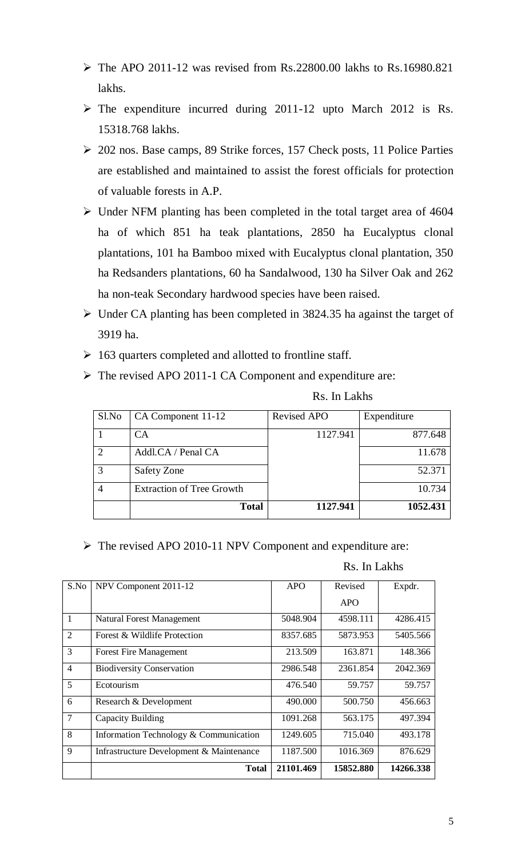- $\triangleright$  The APO 2011-12 was revised from Rs.22800.00 lakhs to Rs.16980.821 lakhs.
- $\triangleright$  The expenditure incurred during 2011-12 upto March 2012 is Rs. 15318.768 lakhs.
- 202 nos. Base camps, 89 Strike forces, 157 Check posts, 11 Police Parties are established and maintained to assist the forest officials for protection of valuable forests in A.P.
- Under NFM planting has been completed in the total target area of 4604 ha of which 851 ha teak plantations, 2850 ha Eucalyptus clonal plantations, 101 ha Bamboo mixed with Eucalyptus clonal plantation, 350 ha Redsanders plantations, 60 ha Sandalwood, 130 ha Silver Oak and 262 ha non-teak Secondary hardwood species have been raised.
- $\triangleright$  Under CA planting has been completed in 3824.35 ha against the target of 3919 ha.
- $\geq 163$  quarters completed and allotted to frontline staff.
- The revised APO 2011-1 CA Component and expenditure are:

| Sl.No | CA Component 11-12               | <b>Revised APO</b> | Expenditure |
|-------|----------------------------------|--------------------|-------------|
|       | СA                               | 1127.941           | 877.648     |
|       | Addl.CA / Penal CA               |                    | 11.678      |
|       | Safety Zone                      |                    | 52.371      |
|       | <b>Extraction of Tree Growth</b> |                    | 10.734      |
|       | <b>Total</b>                     | 1127.941           | 1052.431    |

Rs. In Lakhs

The revised APO 2010-11 NPV Component and expenditure are:

#### Rs. In Lakhs

| S.No           | NPV Component 2011-12                    | <b>APO</b> | Revised    | Expdr.    |
|----------------|------------------------------------------|------------|------------|-----------|
|                |                                          |            | <b>APO</b> |           |
| 1              | <b>Natural Forest Management</b>         | 5048.904   | 4598.111   | 4286.415  |
| 2              | Forest & Wildlife Protection             | 8357.685   | 5873.953   | 5405.566  |
| 3              | <b>Forest Fire Management</b>            | 213.509    | 163.871    | 148.366   |
| $\overline{4}$ | <b>Biodiversity Conservation</b>         | 2986.548   | 2361.854   | 2042.369  |
| 5              | Ecotourism                               | 476.540    | 59.757     | 59.757    |
| 6              | Research & Development                   | 490.000    | 500.750    | 456.663   |
| $\overline{7}$ | Capacity Building                        | 1091.268   | 563.175    | 497.394   |
| 8              | Information Technology & Communication   | 1249.605   | 715.040    | 493.178   |
| 9              | Infrastructure Development & Maintenance | 1187.500   | 1016.369   | 876.629   |
|                | <b>Total</b>                             | 21101.469  | 15852.880  | 14266.338 |